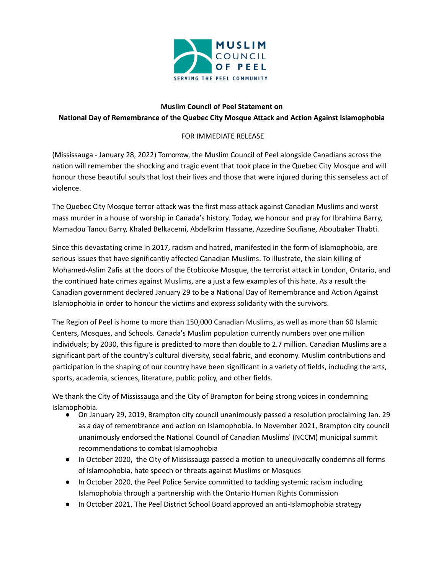

## **Muslim Council of Peel Statement on National Day of Remembrance of the Quebec City Mosque Attack and Action Against Islamophobia**

## FOR IMMEDIATE RELEASE

(Mississauga - January 28, 2022) Tomorrow, the Muslim Council of Peel alongside Canadians across the nation will remember the shocking and tragic event that took place in the Quebec City Mosque and will honour those beautiful souls that lost their lives and those that were injured during this senseless act of violence.

The Quebec City Mosque terror attack was the first mass attack against Canadian Muslims and worst mass murder in a house of worship in Canada's history. Today, we honour and pray for Ibrahima Barry, Mamadou Tanou Barry, Khaled Belkacemi, Abdelkrim Hassane, Azzedine Soufiane, Aboubaker Thabti.

Since this devastating crime in 2017, racism and hatred, manifested in the form of Islamophobia, are serious issues that have significantly affected Canadian Muslims. To illustrate, the slain killing of Mohamed-Aslim Zafis at the doors of the Etobicoke Mosque, the terrorist attack in London, Ontario, and the continued hate crimes against Muslims, are a just a few examples of this hate. As a result the Canadian government declared January 29 to be a National Day of Remembrance and Action Against Islamophobia in order to honour the victims and express solidarity with the survivors.

The Region of Peel is home to more than 150,000 Canadian Muslims, as well as more than 60 Islamic Centers, Mosques, and Schools. Canada's Muslim population currently numbers over one million individuals; by 2030, this figure is predicted to more than double to 2.7 million. Canadian Muslims are a significant part of the country's cultural diversity, social fabric, and economy. Muslim contributions and participation in the shaping of our country have been significant in a variety of fields, including the arts, sports, academia, sciences, literature, public policy, and other fields.

We thank the City of Mississauga and the City of Brampton for being strong voices in condemning Islamophobia.

- On January 29, 2019, Brampton city council unanimously passed a resolution proclaiming Jan. 29 as a day of remembrance and action on Islamophobia. In November 2021, Brampton city council unanimously endorsed the National Council of Canadian Muslims' (NCCM) municipal summit recommendations to combat Islamophobia
- In October 2020, the City of Mississauga passed a motion to unequivocally condemns all forms of Islamophobia, hate speech or threats against Muslims or Mosques
- In October 2020, the Peel Police Service committed to tackling systemic racism including Islamophobia through a partnership with the Ontario Human Rights Commission
- In October 2021, The Peel District School Board approved an anti-Islamophobia strategy